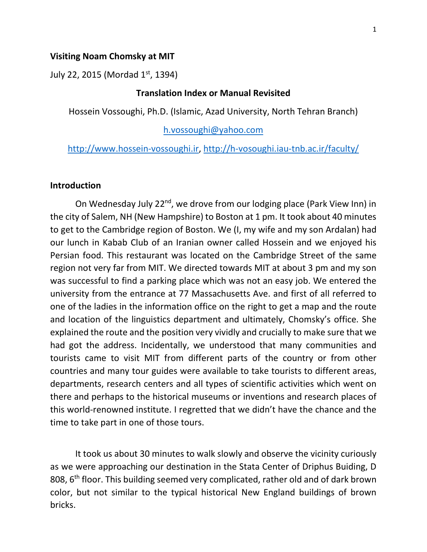#### **Visiting Noam Chomsky at MIT**

July 22, 2015 (Mordad 1<sup>st</sup>, 1394)

# **Translation Index or Manual Revisited**

Hossein Vossoughi, Ph.D. (Islamic, Azad University, North Tehran Branch)

h.vossoughi@yahoo.com

# http://www.hossein-vossoughi.ir, http://h-vosoughi.iau-tnb.ac.ir/faculty/

# **Introduction**

On Wednesday July 22<sup>nd</sup>, we drove from our lodging place (Park View Inn) in the city of Salem, NH (New Hampshire) to Boston at 1 pm. It took about 40 minutes to get to the Cambridge region of Boston. We (I, my wife and my son Ardalan) had our lunch in Kabab Club of an Iranian owner called Hossein and we enjoyed his Persian food. This restaurant was located on the Cambridge Street of the same region not very far from MIT. We directed towards MIT at about 3 pm and my son was successful to find a parking place which was not an easy job. We entered the university from the entrance at 77 Massachusetts Ave. and first of all referred to one of the ladies in the information office on the right to get a map and the route and location of the linguistics department and ultimately, Chomsky's office. She explained the route and the position very vividly and crucially to make sure that we had got the address. Incidentally, we understood that many communities and tourists came to visit MIT from different parts of the country or from other countries and many tour guides were available to take tourists to different areas, departments, research centers and all types of scientific activities which went on there and perhaps to the historical museums or inventions and research places of this world-renowned institute. I regretted that we didn't have the chance and the time to take part in one of those tours.

 It took us about 30 minutes to walk slowly and observe the vicinity curiously as we were approaching our destination in the Stata Center of Driphus Buiding, D 808, 6th floor. This building seemed very complicated, rather old and of dark brown color, but not similar to the typical historical New England buildings of brown bricks.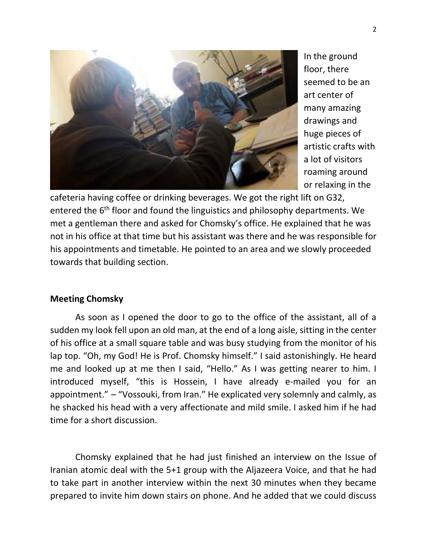

In the ground floor, there seemed to be an art center of many amazing drawings and huge pieces of artistic crafts with a lot of visitors roaming around or relaxing in the

cafeteria having coffee or drinking beverages. We got the right lift on G32, entered the 6<sup>th</sup> floor and found the linguistics and philosophy departments. We met a gentleman there and asked for Chomsky's office. He explained that he was not in his office at that time but his assistant was there and he was responsible for his appointments and timetable. He pointed to an area and we slowly proceeded towards that building section.

# **Meeting Chomsky**

 As soon as I opened the door to go to the office of the assistant, all of a sudden my look fell upon an old man, at the end of a long aisle, sitting in the center of his office at a small square table and was busy studying from the monitor of his lap top. "Oh, my God! He is Prof. Chomsky himself." I said astonishingly. He heard me and looked up at me then I said, "Hello." As I was getting nearer to him. I introduced myself, "this is Hossein, I have already e-mailed you for an appointment." – "Vossouki, from Iran." He explicated very solemnly and calmly, as he shacked his head with a very affectionate and mild smile. I asked him if he had time for a short discussion.

Chomsky explained that he had just finished an interview on the Issue of Iranian atomic deal with the 5+1 group with the Aljazeera Voice, and that he had to take part in another interview within the next 30 minutes when they became prepared to invite him down stairs on phone. And he added that we could discuss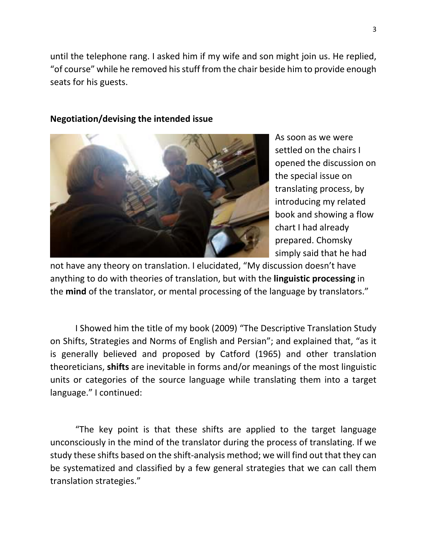until the telephone rang. I asked him if my wife and son might join us. He replied, "of course" while he removed his stuff from the chair beside him to provide enough seats for his guests.



**Negotiation/devising the intended issue**

As soon as we were settled on the chairs I opened the discussion on the special issue on translating process, by introducing my related book and showing a flow chart I had already prepared. Chomsky simply said that he had

not have any theory on translation. I elucidated, "My discussion doesn't have anything to do with theories of translation, but with the **linguistic processing** in the **mind** of the translator, or mental processing of the language by translators."

I Showed him the title of my book (2009) "The Descriptive Translation Study on Shifts, Strategies and Norms of English and Persian"; and explained that, "as it is generally believed and proposed by Catford (1965) and other translation theoreticians, **shifts** are inevitable in forms and/or meanings of the most linguistic units or categories of the source language while translating them into a target language." I continued:

"The key point is that these shifts are applied to the target language unconsciously in the mind of the translator during the process of translating. If we study these shifts based on the shift-analysis method; we will find out that they can be systematized and classified by a few general strategies that we can call them translation strategies."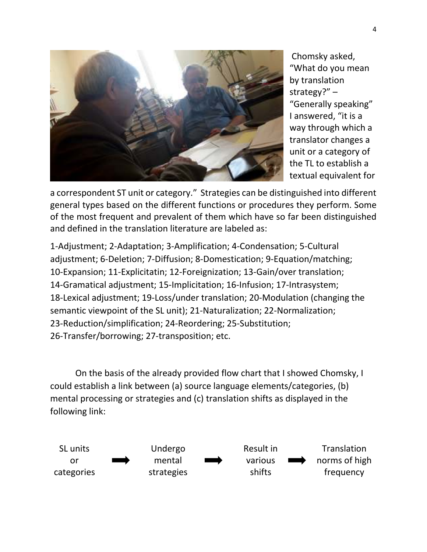

 Chomsky asked, "What do you mean by translation strategy?" – "Generally speaking" I answered, "it is a way through which a translator changes a unit or a category of the TL to establish a textual equivalent for

a correspondent ST unit or category." Strategies can be distinguished into different general types based on the different functions or procedures they perform. Some of the most frequent and prevalent of them which have so far been distinguished and defined in the translation literature are labeled as:

1-Adjustment; 2-Adaptation; 3-Amplification; 4-Condensation; 5-Cultural adjustment; 6-Deletion; 7-Diffusion; 8-Domestication; 9-Equation/matching; 10-Expansion; 11-Explicitatin; 12-Foreignization; 13-Gain/over translation; 14-Gramatical adjustment; 15-Implicitation; 16-Infusion; 17-Intrasystem; 18-Lexical adjustment; 19-Loss/under translation; 20-Modulation (changing the semantic viewpoint of the SL unit); 21-Naturalization; 22-Normalization; 23-Reduction/simplification; 24-Reordering; 25-Substitution; 26-Transfer/borrowing; 27-transposition; etc.

On the basis of the already provided flow chart that I showed Chomsky, I could establish a link between (a) source language elements/categories, (b) mental processing or strategies and (c) translation shifts as displayed in the following link:

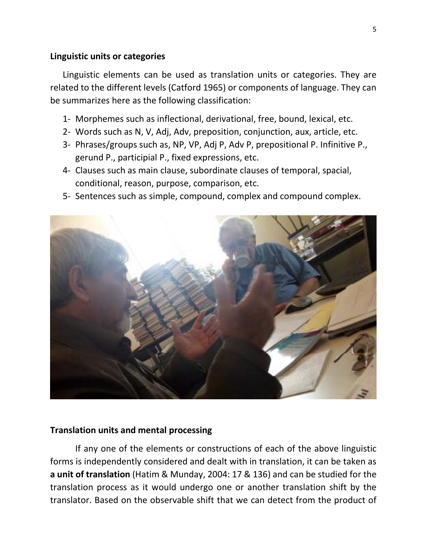# **Linguistic units or categories**

Linguistic elements can be used as translation units or categories. They are related to the different levels (Catford 1965) or components of language. They can be summarizes here as the following classification:

- 1- Morphemes such as inflectional, derivational, free, bound, lexical, etc.
- 2- Words such as N, V, Adj, Adv, preposition, conjunction, aux, article, etc.
- 3- Phrases/groups such as, NP, VP, Adj P, Adv P, prepositional P. Infinitive P., gerund P., participial P., fixed expressions, etc.
- 4- Clauses such as main clause, subordinate clauses of temporal, spacial, conditional, reason, purpose, comparison, etc.
- 5- Sentences such as simple, compound, complex and compound complex.



# **Translation units and mental processing**

If any one of the elements or constructions of each of the above linguistic forms is independently considered and dealt with in translation, it can be taken as **a unit of translation** (Hatim & Munday, 2004: 17 & 136) and can be studied for the translation process as it would undergo one or another translation shift by the translator. Based on the observable shift that we can detect from the product of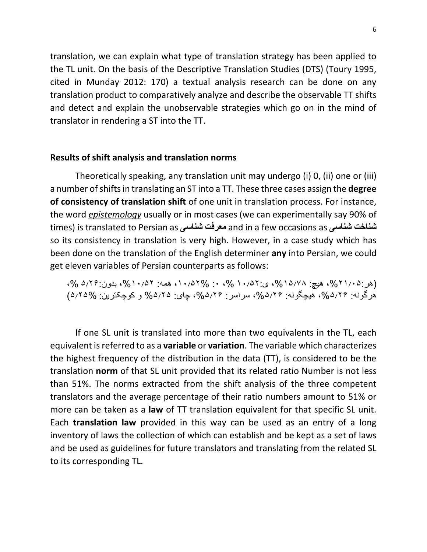translation, we can explain what type of translation strategy has been applied to the TL unit. On the basis of the Descriptive Translation Studies (DTS) (Toury 1995, cited in Munday 2012: 170) a textual analysis research can be done on any translation product to comparatively analyze and describe the observable TT shifts and detect and explain the unobservable strategies which go on in the mind of translator in rendering a ST into the TT.

### **Results of shift analysis and translation norms**

Theoretically speaking, any translation unit may undergo (i) 0, (ii) one or (iii) a number of shifts in translating an ST into a TT. These three cases assign the **degree of consistency of translation shift** of one unit in translation process. For instance, the word *epistemology* usually or in most cases (we can experimentally say 90% of times) is translated to Persian as **شناسی معرفت** and in a few occasions as **شناسی شناخت** so its consistency in translation is very high. However, in a case study which has been done on the translation of the English determiner **any** into Persian, we could get eleven variables of Persian counterparts as follows:

(هر: ٢١٠/٥٢٥، هيچ: ٥/٥١٥/١، ي: ١٠/٥٢٧، ٠، ٧، ١٠/٥٢٧، همه: ٥/٠١٥/٢٢، بدون: ٥/٢۶، هج، هرگونه: ،%۵٢۶ هيچگونه: ،%۵٢۶ سراسر: ،%۵٢۶ چای: %۵٢۵ و کوچکترين: ۵٢۵%)

If one SL unit is translated into more than two equivalents in the TL, each equivalent is referred to as a **variable** or **variation**. The variable which characterizes the highest frequency of the distribution in the data (TT), is considered to be the translation **norm** of that SL unit provided that its related ratio Number is not less than 51%. The norms extracted from the shift analysis of the three competent translators and the average percentage of their ratio numbers amount to 51% or more can be taken as a **law** of TT translation equivalent for that specific SL unit. Each **translation law** provided in this way can be used as an entry of a long inventory of laws the collection of which can establish and be kept as a set of laws and be used as guidelines for future translators and translating from the related SL to its corresponding TL.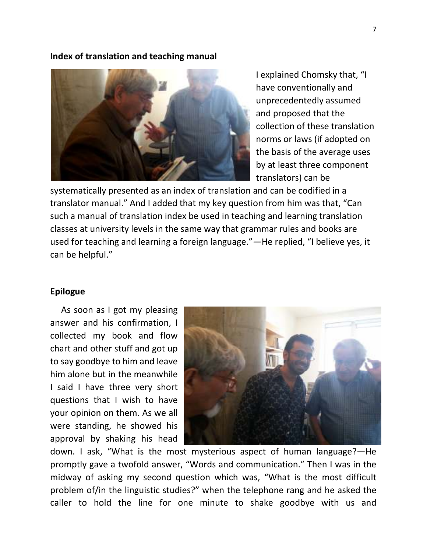#### **Index of translation and teaching manual**



I explained Chomsky that, "I have conventionally and unprecedentedly assumed and proposed that the collection of these translation norms or laws (if adopted on the basis of the average uses by at least three component translators) can be

systematically presented as an index of translation and can be codified in a translator manual." And I added that my key question from him was that, "Can such a manual of translation index be used in teaching and learning translation classes at university levels in the same way that grammar rules and books are used for teaching and learning a foreign language."—He replied, "I believe yes, it can be helpful."

### **Epilogue**

 As soon as I got my pleasing answer and his confirmation, I collected my book and flow chart and other stuff and got up to say goodbye to him and leave him alone but in the meanwhile I said I have three very short questions that I wish to have your opinion on them. As we all were standing, he showed his approval by shaking his head



down. I ask, "What is the most mysterious aspect of human language?—He promptly gave a twofold answer, "Words and communication." Then I was in the midway of asking my second question which was, "What is the most difficult problem of/in the linguistic studies?" when the telephone rang and he asked the caller to hold the line for one minute to shake goodbye with us and